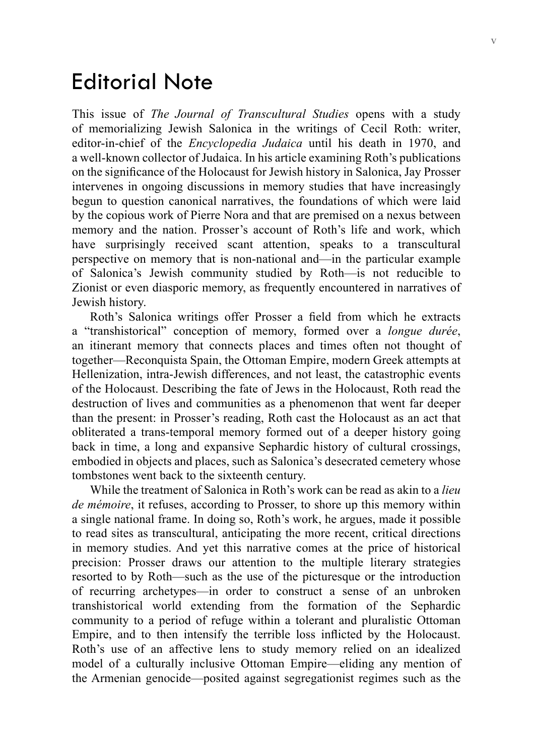## Editorial Note

This issue of *The Journal of Transcultural Studies* opens with a study of memorializing Jewish Salonica in the writings of Cecil Roth: writer, editor-in-chief of the *Encyclopedia Judaica* until his death in 1970, and a well-known collector of Judaica. In his article examining Roth's publications on the significance of the Holocaust for Jewish history in Salonica, Jay Prosser intervenes in ongoing discussions in memory studies that have increasingly begun to question canonical narratives, the foundations of which were laid by the copious work of Pierre Nora and that are premised on a nexus between memory and the nation. Prosser's account of Roth's life and work, which have surprisingly received scant attention, speaks to a transcultural perspective on memory that is non-national and—in the particular example of Salonica's Jewish community studied by Roth—is not reducible to Zionist or even diasporic memory, as frequently encountered in narratives of Jewish history.

Roth's Salonica writings offer Prosser a field from which he extracts a "transhistorical" conception of memory, formed over a *longue durée*, an itinerant memory that connects places and times often not thought of together—Reconquista Spain, the Ottoman Empire, modern Greek attempts at Hellenization, intra-Jewish differences, and not least, the catastrophic events of the Holocaust. Describing the fate of Jews in the Holocaust, Roth read the destruction of lives and communities as a phenomenon that went far deeper than the present: in Prosser's reading, Roth cast the Holocaust as an act that obliterated a trans-temporal memory formed out of a deeper history going back in time, a long and expansive Sephardic history of cultural crossings, embodied in objects and places, such as Salonica's desecrated cemetery whose tombstones went back to the sixteenth century.

While the treatment of Salonica in Roth's work can be read as akin to a *lieu de mémoire*, it refuses, according to Prosser, to shore up this memory within a single national frame. In doing so, Roth's work, he argues, made it possible to read sites as transcultural, anticipating the more recent, critical directions in memory studies. And yet this narrative comes at the price of historical precision: Prosser draws our attention to the multiple literary strategies resorted to by Roth—such as the use of the picturesque or the introduction of recurring archetypes—in order to construct a sense of an unbroken transhistorical world extending from the formation of the Sephardic community to a period of refuge within a tolerant and pluralistic Ottoman Empire, and to then intensify the terrible loss inflicted by the Holocaust. Roth's use of an affective lens to study memory relied on an idealized model of a culturally inclusive Ottoman Empire—eliding any mention of the Armenian genocide—posited against segregationist regimes such as the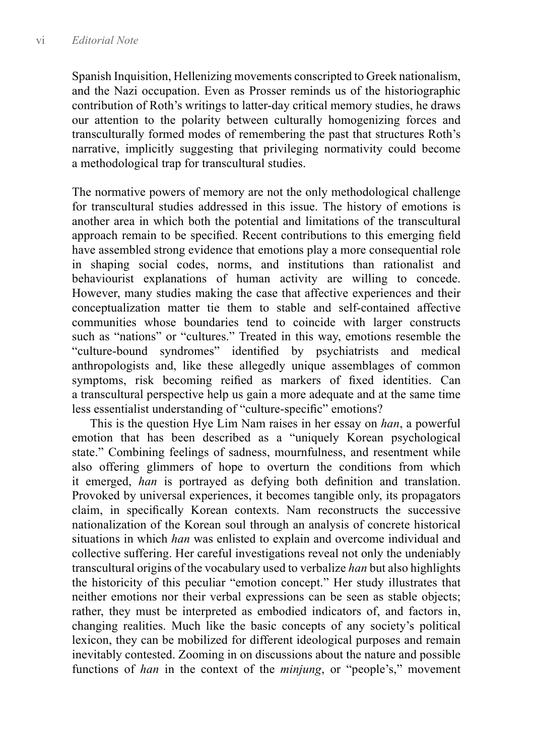Spanish Inquisition, Hellenizing movements conscripted to Greek nationalism, and the Nazi occupation. Even as Prosser reminds us of the historiographic contribution of Roth's writings to latter-day critical memory studies, he draws our attention to the polarity between culturally homogenizing forces and transculturally formed modes of remembering the past that structures Roth's narrative, implicitly suggesting that privileging normativity could become a methodological trap for transcultural studies.

The normative powers of memory are not the only methodological challenge for transcultural studies addressed in this issue. The history of emotions is another area in which both the potential and limitations of the transcultural approach remain to be specified. Recent contributions to this emerging field have assembled strong evidence that emotions play a more consequential role in shaping social codes, norms, and institutions than rationalist and behaviourist explanations of human activity are willing to concede. However, many studies making the case that affective experiences and their conceptualization matter tie them to stable and self-contained affective communities whose boundaries tend to coincide with larger constructs such as "nations" or "cultures." Treated in this way, emotions resemble the "culture-bound syndromes" identified by psychiatrists and medical anthropologists and, like these allegedly unique assemblages of common symptoms, risk becoming reified as markers of fixed identities. Can a transcultural perspective help us gain a more adequate and at the same time less essentialist understanding of "culture-specific" emotions?

This is the question Hye Lim Nam raises in her essay on *han*, a powerful emotion that has been described as a "uniquely Korean psychological state." Combining feelings of sadness, mournfulness, and resentment while also offering glimmers of hope to overturn the conditions from which it emerged, *han* is portrayed as defying both definition and translation. Provoked by universal experiences, it becomes tangible only, its propagators claim, in specifically Korean contexts. Nam reconstructs the successive nationalization of the Korean soul through an analysis of concrete historical situations in which *han* was enlisted to explain and overcome individual and collective suffering. Her careful investigations reveal not only the undeniably transcultural origins of the vocabulary used to verbalize *han* but also highlights the historicity of this peculiar "emotion concept." Her study illustrates that neither emotions nor their verbal expressions can be seen as stable objects; rather, they must be interpreted as embodied indicators of, and factors in, changing realities. Much like the basic concepts of any society's political lexicon, they can be mobilized for different ideological purposes and remain inevitably contested. Zooming in on discussions about the nature and possible functions of *han* in the context of the *minjung*, or "people's," movement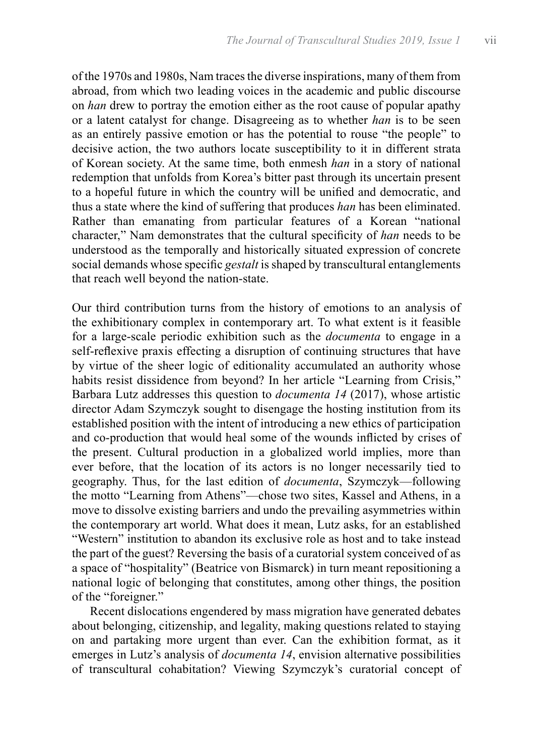of the 1970s and 1980s, Nam traces the diverse inspirations, many of them from abroad, from which two leading voices in the academic and public discourse on *han* drew to portray the emotion either as the root cause of popular apathy or a latent catalyst for change. Disagreeing as to whether *han* is to be seen as an entirely passive emotion or has the potential to rouse "the people" to decisive action, the two authors locate susceptibility to it in different strata of Korean society. At the same time, both enmesh *han* in a story of national redemption that unfolds from Korea's bitter past through its uncertain present to a hopeful future in which the country will be unified and democratic, and thus a state where the kind of suffering that produces *han* has been eliminated. Rather than emanating from particular features of a Korean "national character," Nam demonstrates that the cultural specificity of *han* needs to be understood as the temporally and historically situated expression of concrete social demands whose specific *gestalt* is shaped by transcultural entanglements that reach well beyond the nation-state.

Our third contribution turns from the history of emotions to an analysis of the exhibitionary complex in contemporary art. To what extent is it feasible for a large-scale periodic exhibition such as the *documenta* to engage in a self-reflexive praxis effecting a disruption of continuing structures that have by virtue of the sheer logic of editionality accumulated an authority whose habits resist dissidence from beyond? In her article "Learning from Crisis," Barbara Lutz addresses this question to *documenta 14* (2017), whose artistic director Adam Szymczyk sought to disengage the hosting institution from its established position with the intent of introducing a new ethics of participation and co-production that would heal some of the wounds inflicted by crises of the present. Cultural production in a globalized world implies, more than ever before, that the location of its actors is no longer necessarily tied to geography. Thus, for the last edition of *documenta*, Szymczyk—following the motto "Learning from Athens"—chose two sites, Kassel and Athens, in a move to dissolve existing barriers and undo the prevailing asymmetries within the contemporary art world. What does it mean, Lutz asks, for an established "Western" institution to abandon its exclusive role as host and to take instead the part of the guest? Reversing the basis of a curatorial system conceived of as a space of "hospitality" (Beatrice von Bismarck) in turn meant repositioning a national logic of belonging that constitutes, among other things, the position of the "foreigner."

Recent dislocations engendered by mass migration have generated debates about belonging, citizenship, and legality, making questions related to staying on and partaking more urgent than ever. Can the exhibition format, as it emerges in Lutz's analysis of *documenta 14*, envision alternative possibilities of transcultural cohabitation? Viewing Szymczyk's curatorial concept of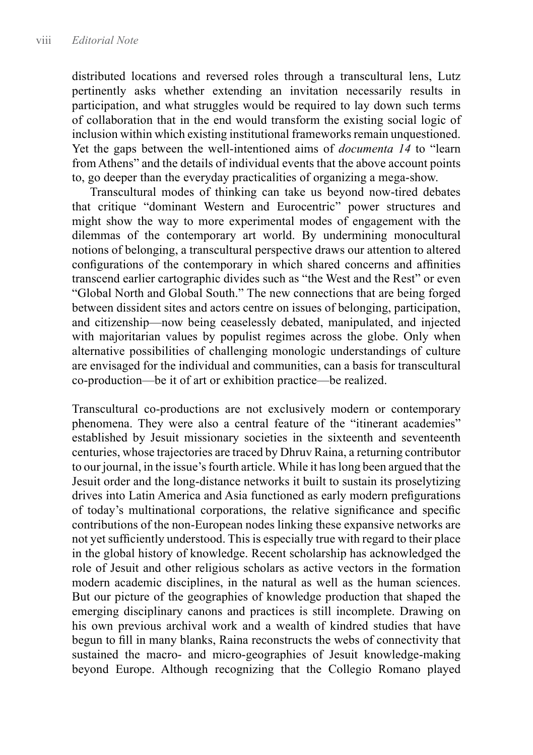distributed locations and reversed roles through a transcultural lens, Lutz pertinently asks whether extending an invitation necessarily results in participation, and what struggles would be required to lay down such terms of collaboration that in the end would transform the existing social logic of inclusion within which existing institutional frameworks remain unquestioned. Yet the gaps between the well-intentioned aims of *documenta 14* to "learn from Athens" and the details of individual events that the above account points to, go deeper than the everyday practicalities of organizing a mega-show.

Transcultural modes of thinking can take us beyond now-tired debates that critique "dominant Western and Eurocentric" power structures and might show the way to more experimental modes of engagement with the dilemmas of the contemporary art world. By undermining monocultural notions of belonging, a transcultural perspective draws our attention to altered configurations of the contemporary in which shared concerns and affinities transcend earlier cartographic divides such as "the West and the Rest" or even "Global North and Global South." The new connections that are being forged between dissident sites and actors centre on issues of belonging, participation, and citizenship—now being ceaselessly debated, manipulated, and injected with majoritarian values by populist regimes across the globe. Only when alternative possibilities of challenging monologic understandings of culture are envisaged for the individual and communities, can a basis for transcultural co-production—be it of art or exhibition practice—be realized.

Transcultural co-productions are not exclusively modern or contemporary phenomena. They were also a central feature of the "itinerant academies" established by Jesuit missionary societies in the sixteenth and seventeenth centuries, whose trajectories are traced by Dhruv Raina, a returning contributor to our journal, in the issue's fourth article. While it has long been argued that the Jesuit order and the long-distance networks it built to sustain its proselytizing drives into Latin America and Asia functioned as early modern prefigurations of today's multinational corporations, the relative significance and specific contributions of the non-European nodes linking these expansive networks are not yet sufficiently understood. This is especially true with regard to their place in the global history of knowledge. Recent scholarship has acknowledged the role of Jesuit and other religious scholars as active vectors in the formation modern academic disciplines, in the natural as well as the human sciences. But our picture of the geographies of knowledge production that shaped the emerging disciplinary canons and practices is still incomplete. Drawing on his own previous archival work and a wealth of kindred studies that have begun to fill in many blanks, Raina reconstructs the webs of connectivity that sustained the macro- and micro-geographies of Jesuit knowledge-making beyond Europe. Although recognizing that the Collegio Romano played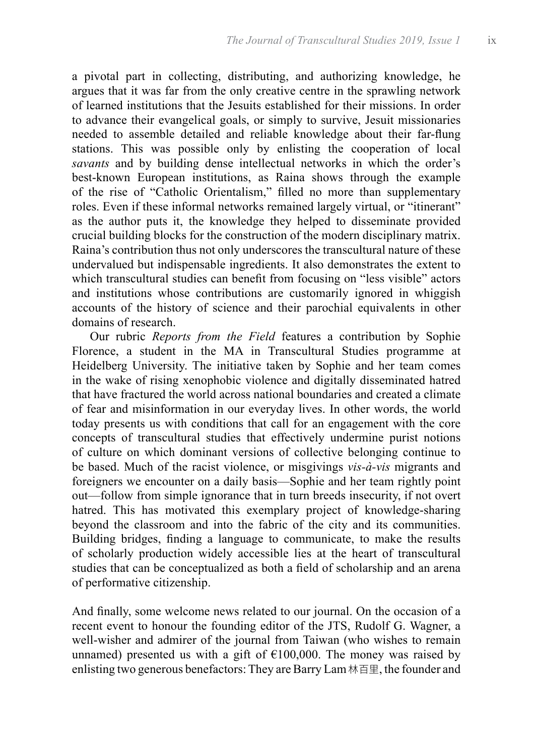a pivotal part in collecting, distributing, and authorizing knowledge, he argues that it was far from the only creative centre in the sprawling network of learned institutions that the Jesuits established for their missions. In order to advance their evangelical goals, or simply to survive, Jesuit missionaries needed to assemble detailed and reliable knowledge about their far-flung stations. This was possible only by enlisting the cooperation of local *savants* and by building dense intellectual networks in which the order's best-known European institutions, as Raina shows through the example of the rise of "Catholic Orientalism," filled no more than supplementary roles. Even if these informal networks remained largely virtual, or "itinerant" as the author puts it, the knowledge they helped to disseminate provided crucial building blocks for the construction of the modern disciplinary matrix. Raina's contribution thus not only underscores the transcultural nature of these undervalued but indispensable ingredients. It also demonstrates the extent to which transcultural studies can benefit from focusing on "less visible" actors and institutions whose contributions are customarily ignored in whiggish accounts of the history of science and their parochial equivalents in other domains of research.

Our rubric *Reports from the Field* features a contribution by Sophie Florence, a student in the MA in Transcultural Studies programme at Heidelberg University. The initiative taken by Sophie and her team comes in the wake of rising xenophobic violence and digitally disseminated hatred that have fractured the world across national boundaries and created a climate of fear and misinformation in our everyday lives. In other words, the world today presents us with conditions that call for an engagement with the core concepts of transcultural studies that effectively undermine purist notions of culture on which dominant versions of collective belonging continue to be based. Much of the racist violence, or misgivings *vis-à-vis* migrants and foreigners we encounter on a daily basis—Sophie and her team rightly point out—follow from simple ignorance that in turn breeds insecurity, if not overt hatred. This has motivated this exemplary project of knowledge-sharing beyond the classroom and into the fabric of the city and its communities. Building bridges, finding a language to communicate, to make the results of scholarly production widely accessible lies at the heart of transcultural studies that can be conceptualized as both a field of scholarship and an arena of performative citizenship.

And finally, some welcome news related to our journal. On the occasion of a recent event to honour the founding editor of the JTS, Rudolf G. Wagner, a well-wisher and admirer of the journal from Taiwan (who wishes to remain unnamed) presented us with a gift of  $£100,000$ . The money was raised by enlisting two generous benefactors: They are Barry Lam 林百里, the founder and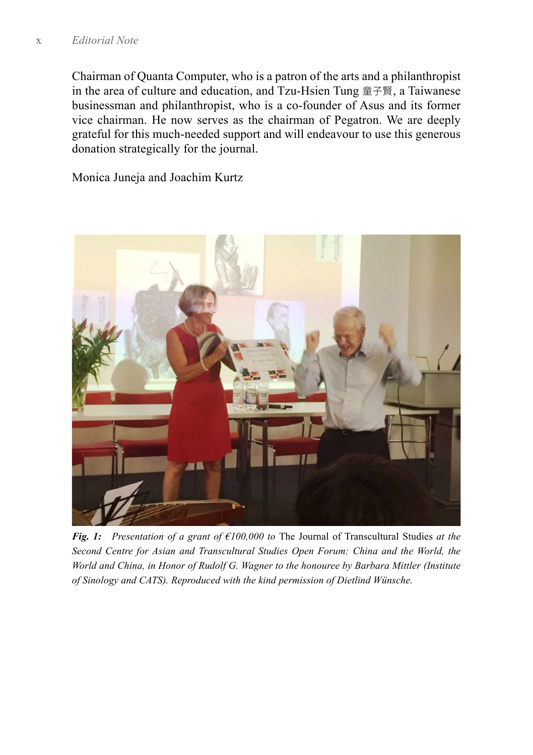Chairman of [Quanta Computer,](https://www.quantatw.com/quanta/english/) who is a patron of the arts and a philanthropist in the area of culture and education, and Tzu-Hsien Tung 童子賢, a Taiwanese businessman and philanthropist, who is a co-founder of [Asus](https://www.asus.com) and its former vice chairman. He now serves as the chairman of [Pegatron](http://pegatroncorp.com/). We are deeply grateful for this much-needed support and will endeavour to use this generous donation strategically for the journal.

Monica Juneja and Joachim Kurtz



*Fig. 1: Presentation of a grant of €100,000 to* The Journal of Transcultural Studies *at the Second Centre for Asian and Transcultural Studies Open Forum: China and the World, the World and China, in Honor of Rudolf G. Wagner to the honouree by Barbara Mittler (Institute of Sinology and CATS). Reproduced with the kind permission of Dietlind Wünsche.*